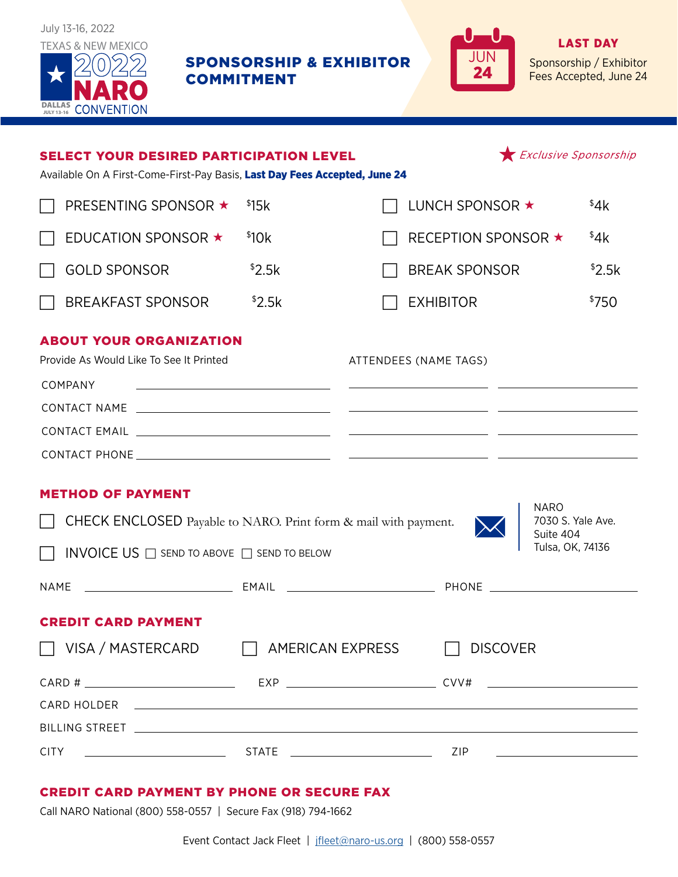

SPONSORSHIP & EXHIBITOR COMMITMENT



LAST DAY Sponsorship / Exhibitor Fees Accepted, June 24

| <b>SELECT YOUR DESIRED PARTICIPATION LEVEL</b><br>Available On A First-Come-First-Pay Basis, Last Day Fees Accepted, June 24                                           |        |                                                                                                                                                | Exclusive Sponsorship |        |
|------------------------------------------------------------------------------------------------------------------------------------------------------------------------|--------|------------------------------------------------------------------------------------------------------------------------------------------------|-----------------------|--------|
| PRESENTING SPONSOR ★                                                                                                                                                   | \$15k  | LUNCH SPONSOR ★                                                                                                                                |                       | \$4k   |
| EDUCATION SPONSOR $\star$                                                                                                                                              | \$10k  | <b>RECEPTION SPONSOR ★</b>                                                                                                                     |                       | 44k    |
| <b>GOLD SPONSOR</b>                                                                                                                                                    | \$2.5k | <b>BREAK SPONSOR</b>                                                                                                                           |                       | \$2.5k |
| <b>BREAKFAST SPONSOR</b>                                                                                                                                               | \$2.5k | <b>EXHIBITOR</b>                                                                                                                               |                       | \$750  |
| <b>ABOUT YOUR ORGANIZATION</b><br>Provide As Would Like To See It Printed<br>COMPANY<br>the control of the control of the control of the control of the control of the |        | ATTENDEES (NAME TAGS)<br><u> 2000 - Andrea Andrew Maria (a chemica de la propincia de la propincia de la propincia de la propincia de la p</u> |                       |        |
|                                                                                                                                                                        |        |                                                                                                                                                |                       |        |
| <b>METHOD OF PAYMENT</b><br><b>NARO</b><br>7030 S. Yale Ave.                                                                                                           |        |                                                                                                                                                |                       |        |
| <b>CHECK ENCLOSED</b> Payable to NARO. Print form & mail with payment.<br>Suite 404<br>Tulsa, OK, 74136<br>$\Box$ INVOICE US $\Box$ send to above $\Box$ send to below |        |                                                                                                                                                |                       |        |
|                                                                                                                                                                        |        |                                                                                                                                                |                       |        |
| <b>CREDIT CARD PAYMENT</b>                                                                                                                                             |        |                                                                                                                                                |                       |        |
| □ VISA / MASTERCARD □ AMERICAN EXPRESS □ DISCOVER                                                                                                                      |        |                                                                                                                                                |                       |        |
| CARD HOLDER <b>AND HOLDER CARD</b>                                                                                                                                     |        |                                                                                                                                                |                       |        |
|                                                                                                                                                                        |        |                                                                                                                                                |                       |        |

## CREDIT CARD PAYMENT BY PHONE OR SECURE FAX

Call NARO National (800) 558-0557 | Secure Fax (918) 794-1662